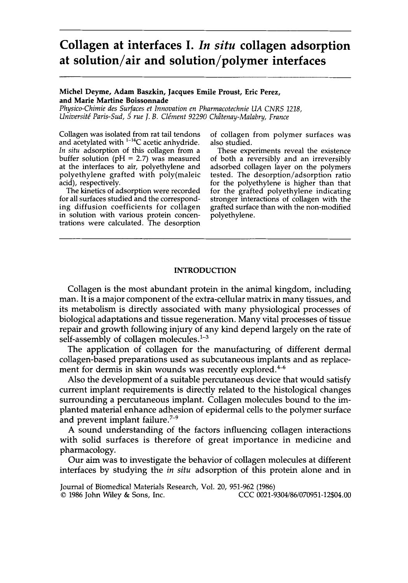# **Collagen at interfaces I.** *In situ* **collagen adsorption at solution/air and solution/polymer interfaces**

**Michel Deyme, Adam Baszkin, Jacques Emile Proust, Eric Perez, and Marie Martine Boissonnade** 

*Physico-Chimie des Surfaces et Innovation en Pharmacotechnie UA CNRS 1218, Universite' Paris-Sud, 5 rue* J. *B. C16rnent* 92290 *Ch6tenay-Mulabry, France* 

Collagen was isolated from rat tail tendons and acetylated with  $1-14$ C acetic anhydride. *In situ* adsorption of this collagen from a buffer solution ( $pH = 2.7$ ) was measured at the interfaces to air, polyethylene and polyethylene grafted with poly(ma1eic acid), respectively.

The kinetics of adsorption were recorded for all surfaces studied and the corresponding diffusion coefficients for collagen in solution with various protein concentrations were calculated. The desorption

of collagen from polymer surfaces was also studied.

These experiments reveal the existence of both a reversibly and an irreversibly adsorbed collagen layer on the polymers tested. The desorption/adsorption ratio for the polyethylene is higher than that for the grafted polyethylene indicating stronger interactions of collagen with the grafted surface than with the non-modified polyethylene.

#### **INTRODUCTION**

Collagen is the most abundant protein in the animal kingdom, including man. It is a major component of the extra-cellular matrix in many tissues, and its metabolism is directly associated with many physiological processes of biological adaptations and tissue regeneration. Many vital processes of tissue repair and growth following injury of any kind depend largely on the rate of self-assembly of collagen molecules. $1-3$ 

The application of collagen for the manufacturing of different dermal collagen-based preparations used as subcutaneous implants and as replacement for dermis in skin wounds was recently explored. $4-6$ 

Also the development of a suitable percutaneous device that would satisfy current implant requirements is directly related to the histological changes surrounding a percutaneous implant. Collagen molecules bound to the implanted material enhance adhesion of epidermal cells to the polymer surface and prevent implant failure. *7-9* 

**A** sound understanding of the factors influencing collagen interactions with solid surfaces is therefore of great importance in medicine and pharmacology.

Our aim was to investigate the behavior of collagen molecules at different interfaces by studying the in *situ* adsorption of this protein alone and in

Journal of Biomedical Materials Research, Vol. 20, 951-962 (1986) *0* 1986 John Wiley & Sons, Inc. CCC 002 **1** -9304/86/07095 1-1 2\$04.00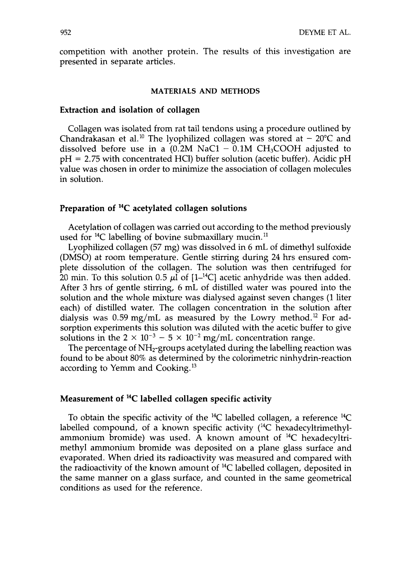competition with another protein. The results of this investigation are presented in separate articles.

#### **MATERIALS AND METHODS**

## **Extraction and isolation of collagen**

Collagen was isolated from rat tail tendons using a procedure outlined by Chandrakasan et al.<sup>10</sup> The lyophilized collagen was stored at  $-20^{\circ}$ C and dissolved before use in a  $(0.2M$  NaC1 –  $0.1M$  CH<sub>3</sub>COOH adjusted to pH = 2.75 with concentrated HCI) buffer solution (acetic buffer). Acidic pH value was chosen in order to minimize the association of collagen molecules in solution.

# **Preparation of I4C acetylated collagen solutions**

Acetylation of collagen was carried out according to the method previously used for  $^{14}C$  labelling of bovine submaxillary mucin.<sup>11</sup>

Lyophilized collagen (57 mg) was dissolved in 6 mL of dimethyl sulfoxide (DMSO) at room temperature. Gentle stirring during 24 hrs ensured complete dissolution of the collagen. The solution was then centrifuged for 20 min. To this solution 0.5  $\mu$ l of [1-<sup>14</sup>C] acetic anhydride was then added. After 3 hrs of gentle stirring, **6** mL of distilled water was poured into the solution and the whole mixture was dialysed against seven changes (1 liter each) of distilled water. The collagen concentration in the solution after dialysis was 0.59 mg/mL as measured by the Lowry method.<sup>12</sup> For adsorption experiments this solution was diluted with the acetic buffer to give sorption experiments this solution was diluted with the acetic buff<br>solutions in the  $2 \times 10^{-3} - 5 \times 10^{-2}$  mg/mL concentration range.

The percentage of NH<sub>2</sub>-groups acetylated during the labelling reaction was found to be about 80% as determined by the colorimetric ninhydrin-reaction according to Yemm and Cooking. $^{13}$ 

# **Measurement of "C labelled collagen specific activity**

To obtain the specific activity of the  $^{14}C$  labelled collagen, a reference  $^{14}C$ labelled compound, of a known specific activity  $(14C)$  hexadecyltrimethylammonium bromide) was used. A known amount of  $^{14}C$  hexadecyltrimethyl ammonium bromide was deposited on a plane glass surface and evaporated. When dried its radioactivity was measured and compared with the radioactivity of the known amount of  $^{14}C$  labelled collagen, deposited in the same manner on a glass surface, and counted in the same geometrical conditions as used for the reference.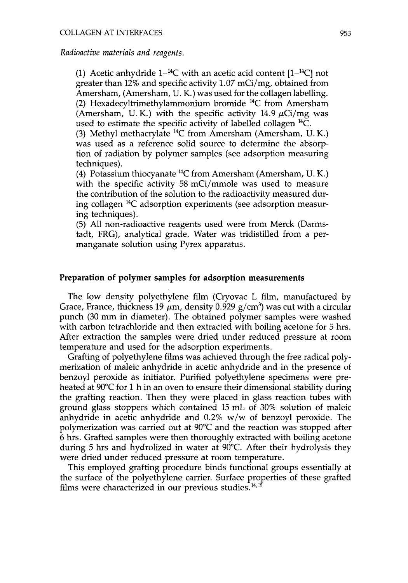*Radioactive materials and reagents.* 

(1) Acetic anhydride  $1-^{14}C$  with an acetic acid content  $[1-^{14}C]$  not greater than 12% and specific activity 1.07 mCi/mg, obtained from Amersham, (Amersham, U. K.) was used for the collagen labelling. (2) Hexadecyltrimethylammonium bromide  $^{14}C$  from Amersham (Amersham, U.K.) with the specific activity 14.9  $\mu$ Ci/mg was used to estimate the specific activity of labelled collagen  $^{14}C$ .

(3) Methyl methacrylate  $^{14}C$  from Amersham (Amersham, U.K.) was used as a reference solid source to determine the absorption of radiation by polymer samples (see adsorption measuring techniques).

**(4)** Potassium thiocyanate 14C from Amersham (Amersham, U. K.) with the specific activity 58 mCi/mmole was used to measure the contribution of the solution to the radioactivity measured during collagen <sup>14</sup>C adsorption experiments (see adsorption measuring techniques).

(5) All non-radioactive reagents used were from Merck (Darmstadt, FRG), analytical grade. Water was tridistilled from a permanganate solution using Pyrex apparatus.

#### **Preparation of polymer samples for adsorption measurements**

The low density polyethylene film (Cryovac L film, manufactured by Grace, France, thickness 19  $\mu$ m, density 0.929 g/cm<sup>3</sup>) was cut with a circular punch **(30** mm in diameter). The obtained polymer samples were washed with carbon tetrachloride and then extracted with boiling acetone for 5 hrs. After extraction the samples were dried under reduced pressure at room temperature and used for the adsorption experiments.

Grafting of polyethylene films was achieved through the free radical polymerization of maleic anhydride in acetic anhydride and in the presence of benzoyl peroxide as initiator. Purified polyethylene specimens were preheated at 90°C for 1 h in an oven to ensure their dimensional stability during the grafting reaction. Then they were placed in glass reaction tubes with ground glass stoppers which contained 15 mL of 30% solution of maleic anhydride in acetic anhydride and 0.2% w/w of benzoyl peroxide. The polymerization was carried out at 90°C and the reaction was stopped after 6 hrs. Grafted samples were then thoroughly extracted with boiling acetone during 5 hrs and hydrolized in water at 90°C. After their hydrolysis they were dried under reduced pressure at room temperature.

This employed grafting procedure binds functional groups essentially at the surface of the polyethylene carrier. Surface properties of these grafted films were characterized in our previous studies. $^{14,15}$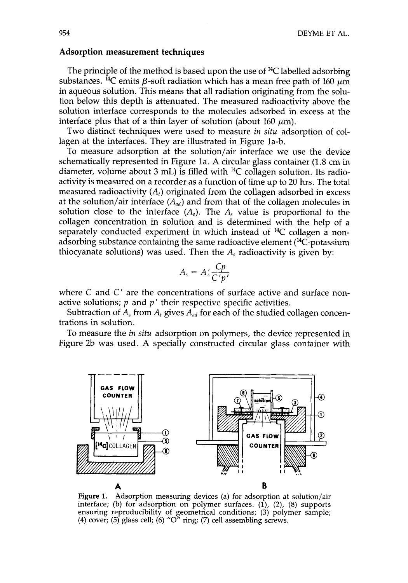#### **Adsorption measurement techniques**

The principle of the method is based upon the use of **14C** labelled adsorbing substances. <sup>I4</sup>C emits  $\beta$ -soft radiation which has a mean free path of 160  $\mu$ m in aqueous solution. This means that all radiation originating from the solution below this depth is attenuated. The measured radioactivity above the solution interface corresponds to the molecules adsorbed in excess at the interface plus that of a thin layer of solution (about 160  $\mu$ m).

Two distinct techniques were used to measure in *situ* adsorption of collagen at the interfaces. They are illustrated in Figure la-b.

To measure adsorption at the solution/air interface we use the device schematically represented in Figure la. **A** circular glass container (1.8 cm in diameter, volume about 3 mL) is filled with **I4C** collagen solution. Its radioactivity is measured on a recorder as a function of time up to 20 hrs. The total measured radioactivity  $(A_t)$  originated from the collagen adsorbed in excess at the solution/air interface *(Aad)* and from that of the collagen molecules in solution close to the interface  $(A<sub>s</sub>)$ . The  $A<sub>s</sub>$  value is proportional to the collagen concentration in solution and is determined with the help of a separately conducted experiment in which instead of  $^{14}C$  collagen a nonadsorbing substance containing the same radioactive element  $(14C$ -potassium thiocyanate solutions) was used. Then the  $A_s$  radioactivity is given by:

$$
A_s = A'_s \frac{Cp}{C'p'}
$$

where C and *C'* are the concentrations of surface active and surface nonactive solutions;  $p$  and  $p'$  their respective specific activities.

Subtraction of  $A_s$  from  $A_t$  gives  $A_{ad}$  for each of the studied collagen concentrations in solution.

To measure the in sifu adsorption on polymers, the device represented in Figure 2b was used. **A** specially constructed circular glass container with



**Figure 1.** Adsorption measuring devices (a) for adsorption at solution/air interface; (b) for adsorption on polymer surfaces.  $(1)$ ,  $(2)$ ,  $(8)$  supports ensuring reproducibility of geometrical conditions; **(3)** polymer sample; **(4)** cover; (5) glass cell; (6) "0" ring; (7) cell assembling screws.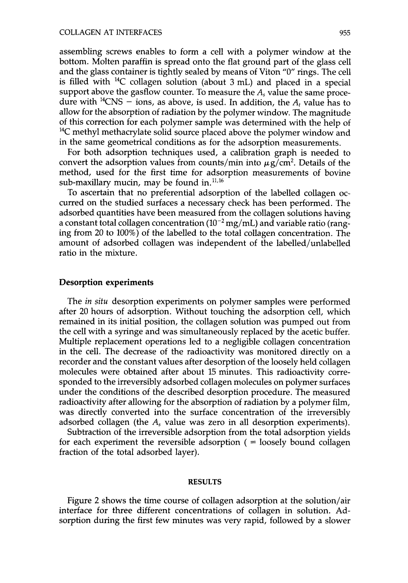assembling screws enables to form a cell with a polymer window at the bottom. Molten paraffin is spread onto the flat ground part of the glass cell and the glass container is tightly sealed by means of Viton "0" rings. The cell is filled with **14C** collagen solution (about 3 mL) and placed in a special support above the gasflow counter. To measure the *A,* value the same procedure with <sup>14</sup>CNS – ions, as above, is used. In addition, the  $A_t$  value has to allow for the absorption of radiation by the polymer window. The magnitude of this correction for each polymer sample was determined with the help of <sup>14</sup>C methyl methacrylate solid source placed above the polymer window and in the same geometrical conditions as for the adsorption measurements.

For both adsorption techniques used, a calibration graph is needed to convert the adsorption values from counts/min into  $\mu$ g/cm<sup>2</sup>. Details of the method, used for the first time for adsorption measurements of bovine sub-maxillary mucin, may be found in. $^{11,16}$ 

To ascertain that no preferential adsorption of the labelled collagen occurred on the studied surfaces a necessary check has been performed. The adsorbed quantities have been measured from the collagen solutions having a constant total collagen concentration  $(10^{-2} \text{ mg/mL})$  and variable ratio (ranging from 20 to 100%) of the labelled to the total collagen concentration. The amount of adsorbed collagen was independent of the labelled/unlabelled ratio in the mixture.

## **Desorption experiments**

The *in situ* desorption experiments on polymer samples were performed after 20 hours of adsorption. Without touching the adsorption cell, which remained in its initial position, the collagen solution was pumped out from the cell with a syringe and was simultaneously replaced by the acetic buffer. Multiple replacement operations led to a negligible collagen concentration in the cell. The decrease of the radioactivity was monitored directly on a recorder and the constant values after desorption of the loosely held collagen molecules were obtained after about 15 minutes. This radioactivity corresponded to the irreversibly adsorbed collagen molecules on polymer surfaces under the conditions of the described desorption procedure. The measured radioactivity after allowing for the absorption of radiation by a polymer film, was directly converted into the surface concentration of the irreversibly adsorbed collagen (the *A,* value was zero in all desorption experiments).

Subtraction of the irreversible adsorption from the total adsorption yields for each experiment the reversible adsorption  $($  = loosely bound collagen fraction of the total adsorbed layer).

#### **RESULTS**

Figure 2 shows the time course of collagen adsorption at the solution/air interface for three different concentrations of collagen in solution. Adsorption during the first few minutes was very rapid, followed by a slower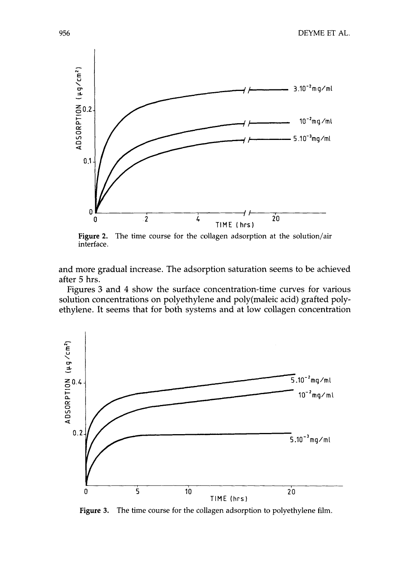

**Figure 2.**  interface. The time course for the collagen adsorption at the solution/air

and more gradual increase. The adsorption saturation seems to be achieved after 5 hrs.

Figures **3** and 4 show the surface concentration-time curves for various solution concentrations on polyethylene and poly(maleic acid) grafted polyethylene. It seems that for both systems and at low collagen concentration



**Figure 3.** The time course for the collagen adsorption to polyethylene film.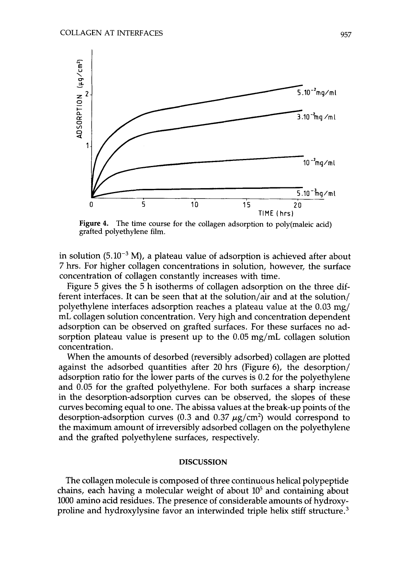

Figure 4. The time course for the collagen adsorption to poly(maleic acid) grafted polyethylene film.

in solution (5.10 $^{-3}$  M), a plateau value of adsorption is achieved after about 7 hrs. For higher collagen concentrations in solution, however, the surface concentration of collagen constantly increases with time.

Figure 5 gives the 5 h isotherms of collagen adsorption on the three different interfaces. It can be seen that at the solution/air and at the solution/ polyethylene interfaces adsorption reaches a plateau value at the 0.03 mg/ mL collagen solution concentration. Very high and concentration dependent adsorption can be observed on grafted surfaces. For these surfaces no adsorption plateau value is present up to the 0.05 mg/mL collagen solution concentration.

When the amounts of desorbed (reversibly adsorbed) collagen are plotted against the adsorbed quantities after 20 hrs (Figure 6), the desorption/ adsorption ratio for the lower parts of the curves is 0.2 for the polyethylene and 0.05 for the grafted polyethylene. For both surfaces a sharp increase in the desorption-adsorption curves can be observed, the slopes of these curves becoming equal to one. The abissa values at the break-up points of the desorption-adsorption curves (0.3 and 0.37  $\mu$ g/cm<sup>2</sup>) would correspond to the maximum amount of irreversibly adsorbed collagen on the polyethylene and the grafted polyethylene surfaces, respectively.

### **DISCUSSION**

The collagen molecule is composed of three continuous helical polypeptide chains, each having a molecular weight of about  $10<sup>5</sup>$  and containing about 1000 amino acid residues. The presence of considerable amounts of hydroxyproline and hydroxylysine favor an interwinded triple helix stiff structure. $<sup>3</sup>$ </sup>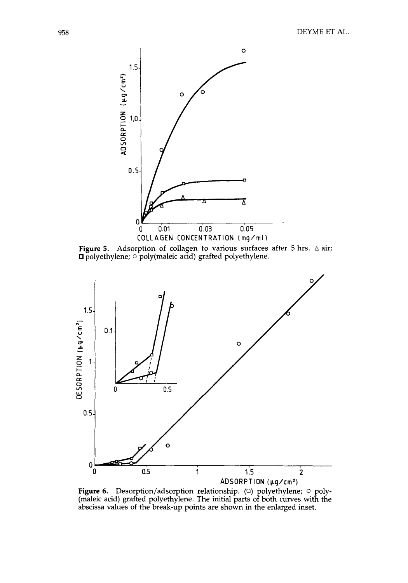

**Figure 5.** Adsorption of collagen to various surfaces after 5 hrs.  $\triangle$  air; polyethylene; *0* poly(ma1eic acid) grafted polyethylene.



**Figure 6.** Desorption/adsorption relationship. *(0)* polyethylene; *0* poly- (maleic acid) grafted polyethylene. The initial parts of both curves with the abscissa values of the break-up points are shown in the enlarged inset.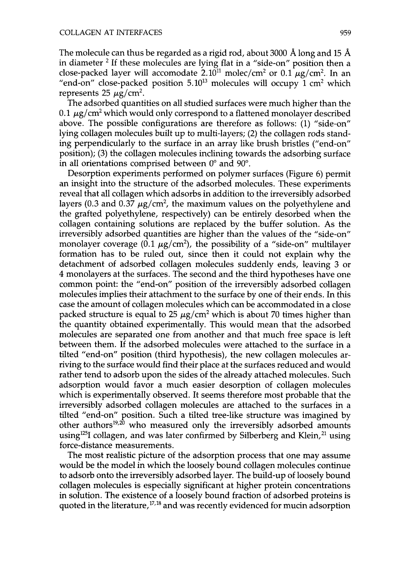The molecule can thus be regarded as a rigid rod, about *3000* A long and 15 A in diameter  $2$  If these molecules are lying flat in a "side-on" position then a close-packed layer will accomodate 2.10<sup>11</sup> molec/cm<sup>2</sup> or 0.1  $\mu$ g/cm<sup>2</sup>. In an "end-on" close-packed position  $5.10^{13}$  molecules will occupy 1 cm<sup>2</sup> which represents  $25 \mu g/cm^2$ .

The adsorbed quantities on all studied surfaces were much higher than the 0.1  $\mu$ g/cm<sup>2</sup> which would only correspond to a flattened monolayer described above. The possible configurations are therefore as follows: (1) "side-on" lying collagen molecules built up to multi-layers; **(2)** the collagen rods standing perpendicularly to the surface in an array like brush bristles ("end-on" position); *(3)* the collagen molecules inclining towards the adsorbing surface in all orientations comprised between  $0^{\circ}$  and  $90^{\circ}$ .

Desorption experiments performed on polymer surfaces (Figure 6) permit an insight into the structure of the adsorbed molecules. These experiments reveal that all collagen which adsorbs in addition to the irreversibly adsorbed layers (0.3 and 0.37  $\mu$ g/cm<sup>2</sup>, the maximum values on the polyethylene and the grafted polyethylene, respectively) can be entirely desorbed when the collagen containing solutions are replaced by the buffer solution. **As** the irreversibly adsorbed quantities are higher than the values of the "side-on" monolayer coverage (0.1  $\mu$ g/cm<sup>2</sup>), the possibility of a "side-on" multilayer formation has to be ruled out, since then it could not explain why the detachment of adsorbed collagen molecules suddenly ends, leaving *3* or 4 monolayers at the surfaces. The second and the third hypotheses have one common point: the "end-on" position of the irreversibly adsorbed collagen molecules implies their attachment to the surface by one of their ends. In this case the amount of collagen molecules which can be accommodated in a close packed structure is equal to 25  $\mu$ g/cm<sup>2</sup> which is about 70 times higher than the quantity obtained experimentally. This would mean that the adsorbed molecules are separated one from another and that much free space is left between them. If the adsorbed molecules were attached to the surface in a tilted "end-on" position (third hypothesis), the new collagen molecules arriving to the surface would find their place at the surfaces reduced and would rather tend to adsorb upon the sides of the already attached molecules. Such adsorption would favor a much easier desorption of collagen molecules which is experimentally observed. It seems therefore most probable that the irreversibly adsorbed collagen molecules are attached to the surfaces in a tilted "end-on" position. Such a tilted tree-like structure was imagined by other authors<sup>19,20</sup> who measured only the irreversibly adsorbed amounts using<sup>125</sup>I collagen, and was later confirmed by Silberberg and Klein,<sup>21</sup> using force-distance measurements.

The most realistic picture of the adsorption process that one may assume would be the model in which the loosely bound collagen molecules continue to adsorb onto the irreversibly adsorbed layer. The build-up of loosely bound collagen molecules is especially significant at higher protein concentrations in solution. The existence of a loosely bound fraction of adsorbed proteins is quoted in the literature,<sup>17,18</sup> and was recently evidenced for mucin adsorption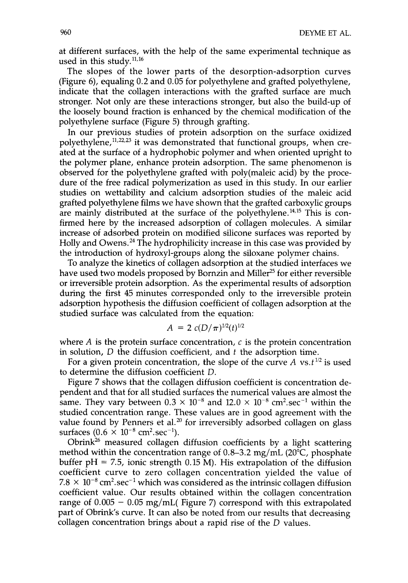at different surfaces, with the help of the same experimental technique as used in this study. $11,16$ 

The slopes of the lower parts of the desorption-adsorption curves (Figure 6), equaling 0.2 and 0.05 for polyethylene and grafted polyethylene, indicate that the collagen interactions with the grafted surface are much stronger. Not only are these interactions stronger, but also the build-up of the loosely bound fraction is enhanced by the chemical modification of the polyethylene surface (Figure 5) through grafting.

In our previous studies of protein adsorption on the surface oxidized polyethylene, $^{11,22,23}$  it was demonstrated that functional groups, when created at the surface of a hydrophobic polymer and when oriented upright to the polymer plane, enhance protein adsorption. The same phenomenon is observed for the polyethylene grafted with poly(ma1eic acid) by the procedure of the free radical polymerization as used in this study. In our earlier studies on wettability and calcium adsorption studies of the maleic acid grafted polyethylene films we have shown that the grafted carboxylic groups are mainly distributed at the surface of the polyethylene.<sup>14,15</sup> This is confirmed here by the increased adsorption of collagen molecules. **A** similar increase of adsorbed protein on modified silicone surfaces was reported by Holly and Owens.<sup>24</sup> The hydrophilicity increase in this case was provided by the introduction of hydroxyl-groups along the siloxane polymer chains.

To analyze the kinetics of collagen adsorption at the studied interfaces we have used two models proposed by Bornzin and Miller<sup>25</sup> for either reversible or irreversible protein adsorption. **As** the experimental results of adsorption during the first 45 minutes corresponded only to the irreversible protein adsorption hypothesis the diffusion coefficient of collagen adsorption at the studied surface was calculated from the equation:

$$
A = 2 \ c(D/\pi)^{1/2} (t)^{1/2}
$$

where  $A$  is the protein surface concentration,  $c$  is the protein concentration in solution, D the diffusion coefficient, and *t* the adsorption time.

For a given protein concentration, the slope of the curve  $A$  vs.t<sup>1/2</sup> is used to determine the diffusion coefficient D.

Figure 7 shows that the collagen diffusion coefficient is concentration dependent and that for all studied surfaces the numerical values are almost the same. They vary between  $0.3 \times 10^{-8}$  and  $12.0 \times 10^{-8}$  cm<sup>2</sup>.sec<sup>-1</sup> within the studied concentration range. These values are in good agreement with the value found by Penners et al.<sup>20</sup> for irreversibly adsorbed collagen on glass surfaces  $(0.6 \times 10^{-8} \text{ cm}^2 \text{ sec}^{-1}).$ 

Obrink<sup>26</sup> measured collagen diffusion coefficients by a light scattering method within the concentration range of 0.8-3.2 mg/mL (20"C, phosphate buffer  $pH = 7.5$ , ionic strength 0.15 M). His extrapolation of the diffusion coefficient curve to zero collagen concentration yielded the value of  $7.8 \times 10^{-8}$  cm<sup>2</sup>.sec<sup>-1</sup> which was considered as the intrinsic collagen diffusion coefficient value. Our results obtained within the collagen concentration range of  $0.005 - 0.05$  mg/mL( Figure 7) correspond with this extrapolated part of Obrink's curve. It can also be noted from our results that decreasing collagen concentration brings about a rapid rise of the *D* values.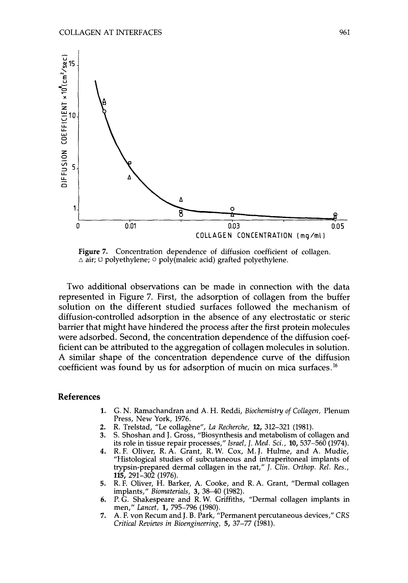

**Figure 7.**  Concentration dependence of diffusion coefficient of collagen. A air; *0* polyethylene; *0* poly(ma1eic acid) grafted polyethylene.

Two additional observations can be made in connection with the data represented in Figure 7. First, the adsorption of collagen from the buffer solution on the different studied surfaces followed the mechanism of diffusion-controlled adsorption in the absence of any electrostatic or steric barrier that might have hindered the process after the first protein molecules were adsorbed. Second, the concentration dependence of the diffusion coefficient can be attributed to the aggregation of collagen molecules in solution. **A** similar shape of the concentration dependence curve of the diffusion coefficient was found by us for adsorption of mucin on mica surfaces.<sup>16</sup>

### **References**

- **1.**  G. N. Ramachandran and A. H. Reddi, *Biochemistry* of *Collagen,* Plenum Press, New York, 1976.
- **2.**  R. Trelstad, "Le collaghne", *La Recherche, 12,* 312-321 (1981).
- **3.**  S. Shoshan and J. Gross, "Biosynthesis and metabolism of collagen and its role in tissue repair processes," *Israel,* J. *Med. Sci.,* 10,537-560 (1974).
- **4.**  R.F. Oliver, **R.A.** Grant, R. W. *Cox,* M. J. Hulme, and A. Mudie, "Histological studies of subcutaneous and intraperitoneal implants of trypsin-prepared dermal collagen in the rat," *1. Clin. Orthop. Rel. Res.,*  115, 291-302 (1976).
- R. F. Oliver, H. Barker, **A.** Cooke, and R. A. Grant, "Dermal collagen implants," *Biomaterials,* **3,** 38-40 (1982). *5.*
- P. G. Shakespeare and R. W. Griffiths, "Dermal collagen implants in men," *Lancet,* 1, 795-796 (1980). **6.**
- **A.** F. von Recum and J. B. Park, "Permanent percutaneous devices," CRS *Critical Reviews in Bioengineering, 5,* 37-77 (1981). **7.**